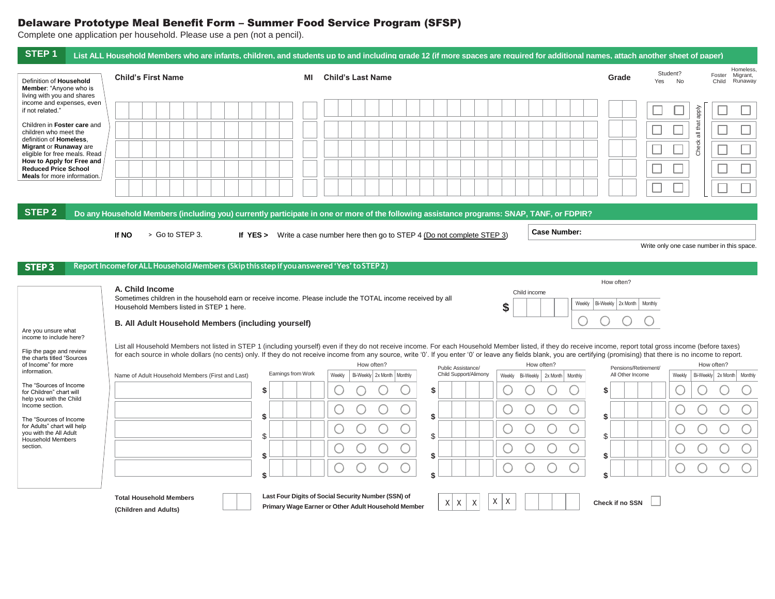## Delaware Prototype Meal Benefit Form – Summer Food Service Program (SFSP)

Complete one application per household. Please use a pen (not a pencil).

|                                                                                                                                                                                                                                                                                                                                                                                |                                                                                          |                                                                                                                                                                                                                                                                                                                                                                                                                                                                         | Homeless.                                                                 |
|--------------------------------------------------------------------------------------------------------------------------------------------------------------------------------------------------------------------------------------------------------------------------------------------------------------------------------------------------------------------------------|------------------------------------------------------------------------------------------|-------------------------------------------------------------------------------------------------------------------------------------------------------------------------------------------------------------------------------------------------------------------------------------------------------------------------------------------------------------------------------------------------------------------------------------------------------------------------|---------------------------------------------------------------------------|
| Definition of Household<br>Member: "Anyone who is<br>living with you and shares                                                                                                                                                                                                                                                                                                | <b>Child's First Name</b>                                                                | <b>Child's Last Name</b><br>MI                                                                                                                                                                                                                                                                                                                                                                                                                                          | Student?<br>Foster Migrant,<br>Grade<br>Yes<br><b>No</b><br>Child Runaway |
| income and expenses, even<br>if not related."<br>Children in Foster care and                                                                                                                                                                                                                                                                                                   |                                                                                          |                                                                                                                                                                                                                                                                                                                                                                                                                                                                         | ddde                                                                      |
| children who meet the<br>definition of Homeless.<br>Migrant or Runaway are                                                                                                                                                                                                                                                                                                     |                                                                                          |                                                                                                                                                                                                                                                                                                                                                                                                                                                                         | all that<br>Check                                                         |
| eligible for free meals. Read<br>How to Apply for Free and<br><b>Reduced Price School</b><br><b>Meals</b> for more information.                                                                                                                                                                                                                                                |                                                                                          |                                                                                                                                                                                                                                                                                                                                                                                                                                                                         |                                                                           |
|                                                                                                                                                                                                                                                                                                                                                                                |                                                                                          |                                                                                                                                                                                                                                                                                                                                                                                                                                                                         |                                                                           |
| <b>STEP 2</b>                                                                                                                                                                                                                                                                                                                                                                  |                                                                                          | Do any Household Members (including you) currently participate in one or more of the following assistance programs: SNAP, TANF, or FDPIR?<br><b>Case Number:</b>                                                                                                                                                                                                                                                                                                        |                                                                           |
|                                                                                                                                                                                                                                                                                                                                                                                | > Go to STEP 3.<br>If NO                                                                 | If YES > Write a case number here then go to STEP 4 (Do not complete STEP 3)                                                                                                                                                                                                                                                                                                                                                                                            | Write only one case number in this space.                                 |
| <b>STEP3</b>                                                                                                                                                                                                                                                                                                                                                                   | Report Income for ALL Household Members (Skip this step if you answered 'Yes' to STEP 2) |                                                                                                                                                                                                                                                                                                                                                                                                                                                                         |                                                                           |
|                                                                                                                                                                                                                                                                                                                                                                                |                                                                                          |                                                                                                                                                                                                                                                                                                                                                                                                                                                                         |                                                                           |
|                                                                                                                                                                                                                                                                                                                                                                                | A. Child Income<br>Household Members listed in STEP 1 here.                              | Child income<br>Sometimes children in the household earn or receive income. Please include the TOTAL income received by all<br>\$                                                                                                                                                                                                                                                                                                                                       | How often?<br>Bi-Weekly 2x Month<br>Weekly<br>Monthly                     |
|                                                                                                                                                                                                                                                                                                                                                                                | B. All Adult Household Members (including yourself)                                      |                                                                                                                                                                                                                                                                                                                                                                                                                                                                         |                                                                           |
|                                                                                                                                                                                                                                                                                                                                                                                |                                                                                          | List all Household Members not listed in STEP 1 (including yourself) even if they do not receive income. For each Household Member listed, if they do receive income, report total gross income (before taxes)<br>for each source in whole dollars (no cents) only. If they do not receive income from any source, write '0'. If you enter '0' or leave any fields blank, you are certifying (promising) that there is no income to report.<br>How often?<br>How often? | How often?                                                                |
|                                                                                                                                                                                                                                                                                                                                                                                | Name of Adult Household Members (First and Last)                                         | Public Assistance/<br>Earnings from Work<br>Child Support/Alimony<br>Weekly<br>Bi-Weekly 2x Month   Monthly<br>Weekly Bi-Weekly 2x Month Monthly                                                                                                                                                                                                                                                                                                                        | Pensions/Retirement/<br>All Other Income<br>Weekly                        |
|                                                                                                                                                                                                                                                                                                                                                                                |                                                                                          | \$<br>S                                                                                                                                                                                                                                                                                                                                                                                                                                                                 | \$                                                                        |
|                                                                                                                                                                                                                                                                                                                                                                                |                                                                                          | \$<br>\$                                                                                                                                                                                                                                                                                                                                                                                                                                                                | \$                                                                        |
|                                                                                                                                                                                                                                                                                                                                                                                |                                                                                          | \$<br>\$                                                                                                                                                                                                                                                                                                                                                                                                                                                                | \$                                                                        |
|                                                                                                                                                                                                                                                                                                                                                                                |                                                                                          | U<br>\$<br>\$                                                                                                                                                                                                                                                                                                                                                                                                                                                           | \$                                                                        |
|                                                                                                                                                                                                                                                                                                                                                                                |                                                                                          | \$<br>\$                                                                                                                                                                                                                                                                                                                                                                                                                                                                | \$                                                                        |
| Are you unsure what<br>income to include here?<br>Flip the page and review<br>the charts titled "Sources<br>of Income" for more<br>information.<br>The "Sources of Income<br>for Children" chart will<br>help you with the Child<br>Income section.<br>The "Sources of Income<br>for Adults" chart will help<br>you with the All Adult<br><b>Household Members</b><br>section. | <b>Total Household Members</b><br>(Children and Adults)                                  | Last Four Digits of Social Security Number (SSN) of<br>Χ<br>Χ<br>$X$ $X$<br>X<br>Primary Wage Earner or Other Adult Household Member                                                                                                                                                                                                                                                                                                                                    | Bi-Weekly 2x Month Monthly<br>Check if no SSN                             |